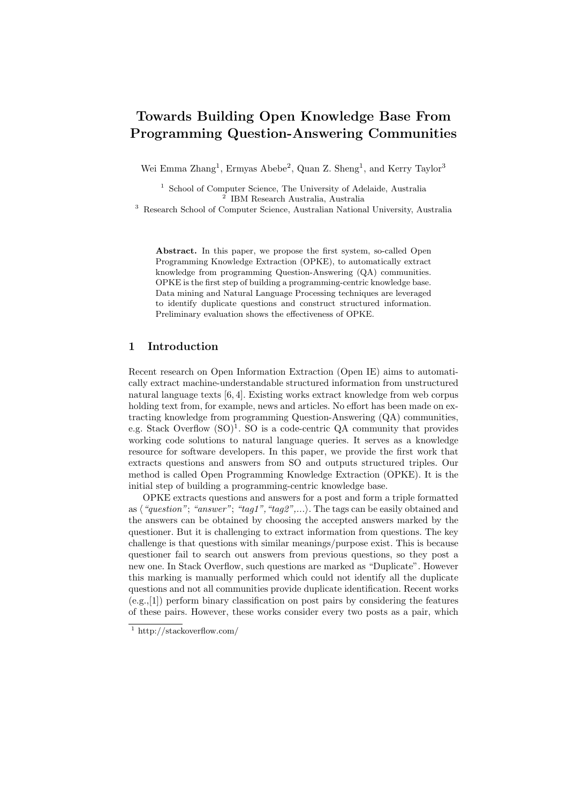# Towards Building Open Knowledge Base From Programming Question-Answering Communities

Wei Emma Zhang<sup>1</sup>, Ermyas Abebe<sup>2</sup>, Quan Z. Sheng<sup>1</sup>, and Kerry Taylor<sup>3</sup>

<sup>1</sup> School of Computer Science, The University of Adelaide, Australia IBM Research Australia, Australia

<sup>3</sup> Research School of Computer Science, Australian National University, Australia

Abstract. In this paper, we propose the first system, so-called Open Programming Knowledge Extraction (OPKE), to automatically extract knowledge from programming Question-Answering (QA) communities. OPKE is the first step of building a programming-centric knowledge base. Data mining and Natural Language Processing techniques are leveraged to identify duplicate questions and construct structured information. Preliminary evaluation shows the effectiveness of OPKE.

## 1 Introduction

Recent research on Open Information Extraction (Open IE) aims to automatically extract machine-understandable structured information from unstructured natural language texts [6, 4]. Existing works extract knowledge from web corpus holding text from, for example, news and articles. No effort has been made on extracting knowledge from programming Question-Answering (QA) communities, e.g. Stack Overflow  $(SO)^1$ . SO is a code-centric QA community that provides working code solutions to natural language queries. It serves as a knowledge resource for software developers. In this paper, we provide the first work that extracts questions and answers from SO and outputs structured triples. Our method is called Open Programming Knowledge Extraction (OPKE). It is the initial step of building a programming-centric knowledge base.

OPKE extracts questions and answers for a post and form a triple formatted as  $\langle$  "question"; "answer"; "tag1", "tag2",...). The tags can be easily obtained and the answers can be obtained by choosing the accepted answers marked by the questioner. But it is challenging to extract information from questions. The key challenge is that questions with similar meanings/purpose exist. This is because questioner fail to search out answers from previous questions, so they post a new one. In Stack Overflow, such questions are marked as "Duplicate". However this marking is manually performed which could not identify all the duplicate questions and not all communities provide duplicate identification. Recent works (e.g.,[1]) perform binary classification on post pairs by considering the features of these pairs. However, these works consider every two posts as a pair, which

<sup>1</sup> http://stackoverflow.com/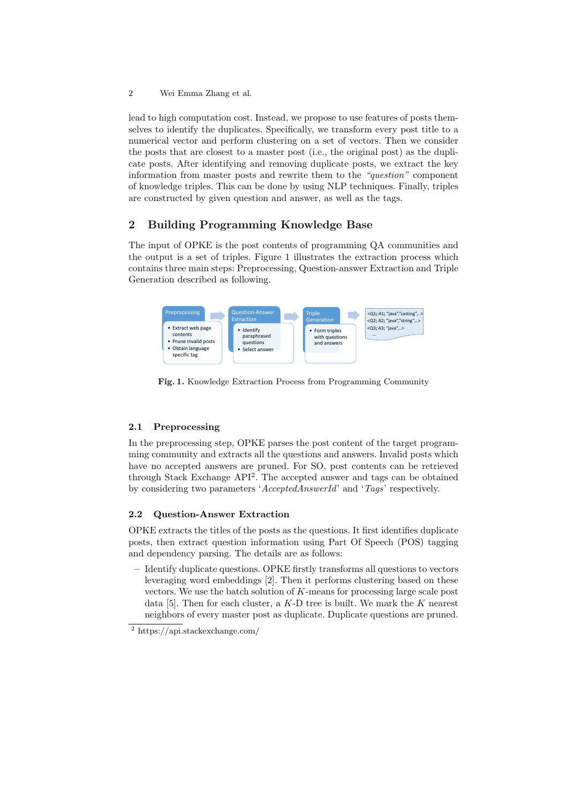lead to high computation cost. Instead, we propose to use features of posts themselves to identify the duplicates. Specifically, we transform every post title to a numerical vector and perform clustering on a set of vectors. Then we consider the posts that are closest to a master post (i.e., the original post) as the duplicate posts. After identifying and removing duplicate posts, we extract the key information from master posts and rewrite them to the "question" component of knowledge triples. This can be done by using NLP techniques. Finally, triples are constructed by given question and answer, as well as the tags.

## 2 Building Programming Knowledge Base

The input of OPKE is the post contents of programming QA communities and the output is a set of triples. Figure 1 illustrates the extraction process which contains three main steps: Preprocessing, Question-answer Extraction and Triple Generation described as following.



Fig. 1. Knowledge Extraction Process from Programming Community

## 2.1 Preprocessing

In the preprocessing step, OPKE parses the post content of the target programming community and extracts all the questions and answers. Invalid posts which have no accepted answers are pruned. For SO, post contents can be retrieved through Stack Exchange API<sup>2</sup> . The accepted answer and tags can be obtained by considering two parameters 'AcceptedAnswerId' and 'Tags' respectively.

## 2.2 Question-Answer Extraction

OPKE extracts the titles of the posts as the questions. It first identifies duplicate posts, then extract question information using Part Of Speech (POS) tagging and dependency parsing. The details are as follows:

– Identify duplicate questions. OPKE firstly transforms all questions to vectors leveraging word embeddings [2]. Then it performs clustering based on these vectors. We use the batch solution of  $K$ -means for processing large scale post data [5]. Then for each cluster, a  $K$ -D tree is built. We mark the K nearest neighbors of every master post as duplicate. Duplicate questions are pruned.

<sup>2</sup> Wei Emma Zhang et al.

<sup>2</sup> https://api.stackexchange.com/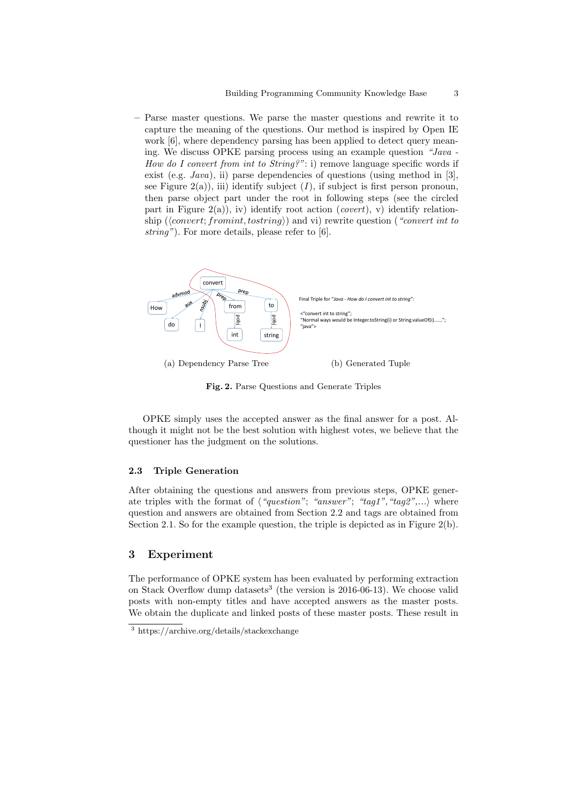– Parse master questions. We parse the master questions and rewrite it to capture the meaning of the questions. Our method is inspired by Open IE work [6], where dependency parsing has been applied to detect query meaning. We discuss OPKE parsing process using an example question "Java - How do I convert from int to String?": i) remove language specific words if exist (e.g. *Java*), ii) parse dependencies of questions (using method in [3], see Figure  $2(a)$ , iii) identify subject (I), if subject is first person pronoun, then parse object part under the root in following steps (see the circled part in Figure 2(a)), iv) identify root action (*covert*), v) identify relationship ( $\langle convert; from int, to string \rangle$ ) and vi) rewrite question ("convert int to string"). For more details, please refer to [6].



Fig. 2. Parse Questions and Generate Triples

OPKE simply uses the accepted answer as the final answer for a post. Although it might not be the best solution with highest votes, we believe that the questioner has the judgment on the solutions.

#### 2.3 Triple Generation

After obtaining the questions and answers from previous steps, OPKE generate triples with the format of  $\langle$  "question"; "answer"; "tag1", "tag2",...) where question and answers are obtained from Section 2.2 and tags are obtained from Section 2.1. So for the example question, the triple is depicted as in Figure  $2(b)$ .

## 3 Experiment

The performance of OPKE system has been evaluated by performing extraction on Stack Overflow dump datasets<sup>3</sup> (the version is 2016-06-13). We choose valid posts with non-empty titles and have accepted answers as the master posts. We obtain the duplicate and linked posts of these master posts. These result in

<sup>3</sup> https://archive.org/details/stackexchange